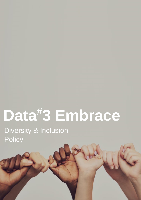# **Data#3 Embrace**

Version 1.0 **Confidential** Page 1 of 4 Approved for Internal Use and Distribution Only This Document forms part of OD&HR Copyright © 2021 Data#3 Limited. All rights reserved.

Diversity & Inclusion **Policy**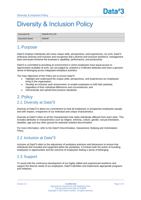# Diversity & Inclusion Policy

| Document ID    | OD&HR-Pol-1.00 |
|----------------|----------------|
| Document Owner | OD&HR          |

# 1. Purpose

Data#3 employs individuals who have unique skills, perspectives, and experiences. As such, Data#3 embraces diversity and inclusion and recognises that a diverse and inclusive workforce, management team and board enhance the business's capability, performance, and productivity.

Data#3 is committed to providing an environment in which employees have equal access to opportunities available at work, are not judged by unlawful or irrelevant attributes and have a genuine sense of belonging across integrated workplace activities.

The main objectives of this Policy are to ensure Data#3:

- Highlight and understand the unique skills, perspectives, and experiences our employees bring to the organisation;
- Develop an inclusive work environment, to enable employees to fulfil their potential, regardless of their individual differences and circumstances; and
- Demonstrate and uphold best practice standards.

# 2. Policy 2.1 Diversity at Data#3

Diversity at Data#3 is about our commitment to treat all employees or prospective employees equally and with respect, irrespective of our individual and unique characteristics.

Diversity at Data#3 refers to all the characteristics that make individuals different from each other. This includes attributes or characteristics such as religion, ethnicity, culture, gender, sexual orientation, disability, age and any other ground for potential unlawful discrimination.

For more information, refer to the Data#3 Discrimination, Harassment, Bullying and Victimisation Policy.

#### 2.2 Inclusion at Data#3

Inclusion at Data#3 refers to the adjustment of workplace practices and behaviours to ensure that individuals feel included and supported within the workplace. It involves both the action of including employees in opportunities and the outcome of employees feeling a sense of belonging.

#### 2.3 Support

To assist with the continuous development of our highly skilled and experienced workforce and support the diverse needs of our employees, Data#3 identifies and implements appropriate programs and initiatives.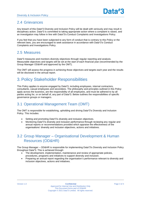#### 2.4 Grievances

Any breach of this Data#3 Diversity and Inclusion Policy will be dealt with seriously and may result in disciplinary action. Data#3 is committed to taking appropriate action where a complaint is raised, and an investigation may follow in line with Data#3's Conduct Complaints and Investigations Policy.

If you feel that you have been subjected to any form of conduct that is contrary to this Policy or the relevant laws, you are encouraged to seek assistance in accordance with Data#3's Conduct Complaints and Investigations Policy.

#### 2.5 Measures

Data#3 measures and monitors diversity objectives through regular reporting and analysis. Measurable objectives and targets will be set at the start of each financial year (recommended by the Group Manager OD&HR and approved by the OMT).

The OMT will assess the progress in achieving those objectives and targets each year and the results will be disclosed in the annual report.

# 3. Policy Stakeholder Responsibilities

This Policy applies to anyone engaged by Data#3, including employees, internal contractors, consultants, casual employees and secondees. The philosophy and principles outlined in this Policy apply across the business, are the responsibility of all employees, and must be adhered to by all parties acting for, or on behalf of, any part of Data#3. Below outlines the responsibilities of specific governance groups or managers.

#### 3.1 Operational Management Team (OMT)

The OMT is responsible for establishing, upholding and driving Data#3's Diversity and Inclusion Policy. This includes:

- Setting and promoting Data#3's diversity and inclusion objectives.
- Monitoring Data#3's diversity and inclusion performance through reviewing any regular and annual reports or recommendations provided which appraise the effectiveness of the organisations' diversity and inclusion objectives, actions and initiatives.

### 3.2 Group Manager – Organisational Development & Human Resources (OD&HR)

The Group Manager – OD&HR is responsible for implementing Data#3's Diversity and Inclusion Policy throughout Data#3. This is achieved through:

- The development, implementation, maintenance and review of appropriate policies, procedures, programs and initiatives to support diversity and inclusion.
- Preparing an annual report regarding the organisation's performance relevant to diversity and inclusion objectives, actions and initiatives.